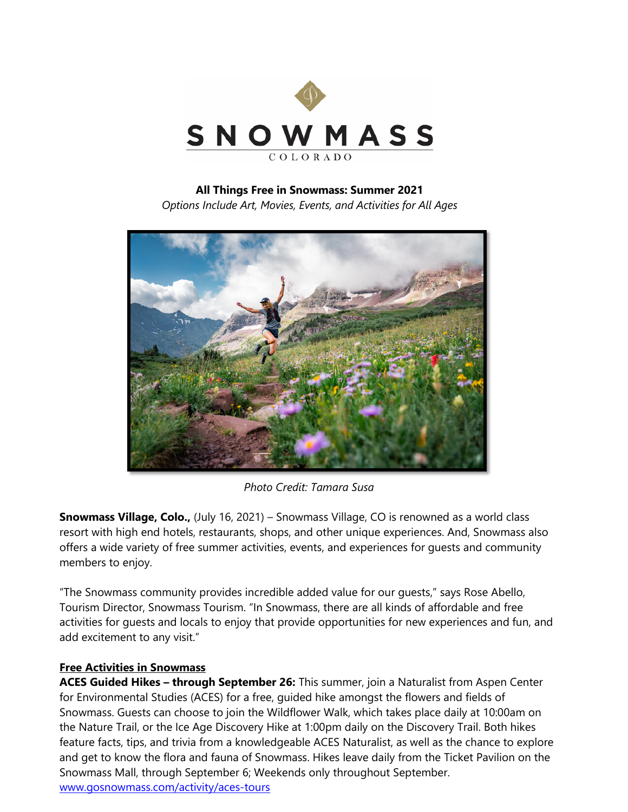

## **All Things Free in Snowmass: Summer 2021**

*Options Include Art, Movies, Events, and Activities for All Ages*



*Photo Credit: Tamara Susa*

**Snowmass Village, Colo.,** (July 16, 2021) – Snowmass Village, CO is renowned as a world class resort with high end hotels, restaurants, shops, and other unique experiences. And, Snowmass also offers a wide variety of free summer activities, events, and experiences for guests and community members to enjoy.

"The Snowmass community provides incredible added value for our guests," says Rose Abello, Tourism Director, Snowmass Tourism. "In Snowmass, there are all kinds of affordable and free activities for guests and locals to enjoy that provide opportunities for new experiences and fun, and add excitement to any visit."

## **Free Activities in Snowmass**

**ACES Guided Hikes – through September 26:** This summer, join a Naturalist from Aspen Center for Environmental Studies (ACES) for a free, guided hike amongst the flowers and fields of Snowmass. Guests can choose to join the Wildflower Walk, which takes place daily at 10:00am on the Nature Trail, or the Ice Age Discovery Hike at 1:00pm daily on the Discovery Trail. Both hikes feature facts, tips, and trivia from a knowledgeable ACES Naturalist, as well as the chance to explore and get to know the flora and fauna of Snowmass. Hikes leave daily from the Ticket Pavilion on the Snowmass Mall, through September 6; Weekends only throughout September. [www.gosnowmass.com/activity/aces-tours](http://www.gosnowmass.com/activity/aces-tours)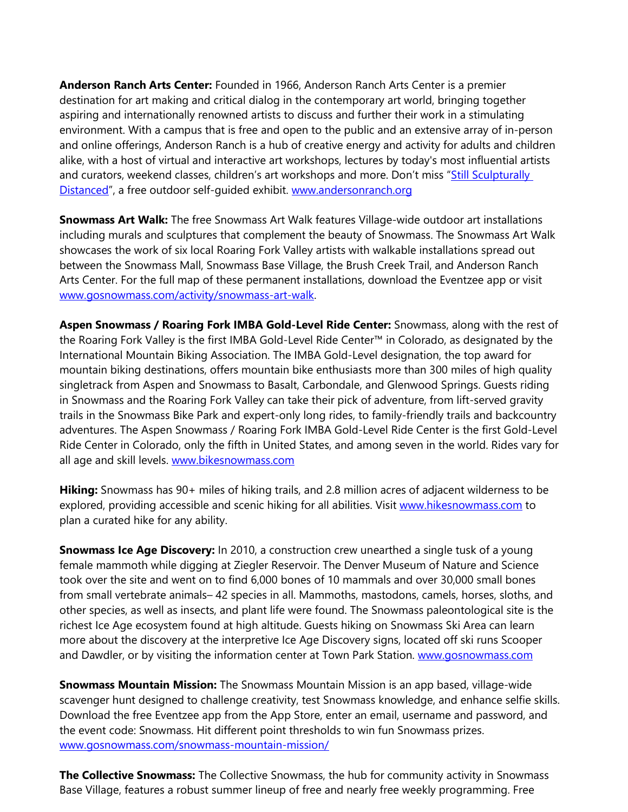**Anderson Ranch Arts Center:** Founded in 1966, Anderson Ranch Arts Center is a premier destination for art making and critical dialog in the contemporary art world, bringing together aspiring and internationally renowned artists to discuss and further their work in a stimulating environment. With a campus that is free and open to the public and an extensive array of in-person and online offerings, Anderson Ranch is a hub of creative energy and activity for adults and children alike, with a host of virtual and interactive art workshops, lectures by today's most influential artists and curators, weekend classes, children's art workshops and more. Don't miss "Still Sculpturally [Distanced"](https://www.andersonranch.org/our-campus/sculpture-exhibition/), a free outdoor self-quided exhibit. [www.andersonranch.org](http://www.andersonranch.org/)

**Snowmass Art Walk:** The free Snowmass Art Walk features Village-wide outdoor art installations including murals and sculptures that complement the beauty of Snowmass. The Snowmass Art Walk showcases the work of six local Roaring Fork Valley artists with walkable installations spread out between the Snowmass Mall, Snowmass Base Village, the Brush Creek Trail, and Anderson Ranch Arts Center. For the full map of these permanent installations, download the Eventzee app or visit [www.gosnowmass.com/activity/snowmass-art-walk.](http://www.gosnowmass.com/activity/snowmass-art-walk)

**Aspen Snowmass / Roaring Fork IMBA Gold-Level Ride Center:** Snowmass, along with the rest of the Roaring Fork Valley is the first IMBA Gold-Level Ride Center™ in Colorado, as designated by the International Mountain Biking Association. The IMBA Gold-Level designation, the top award for mountain biking destinations, offers mountain bike enthusiasts more than 300 miles of high quality singletrack from Aspen and Snowmass to Basalt, Carbondale, and Glenwood Springs. Guests riding in Snowmass and the Roaring Fork Valley can take their pick of adventure, from lift-served gravity trails in the Snowmass Bike Park and expert-only long rides, to family-friendly trails and backcountry adventures. The Aspen Snowmass / Roaring Fork IMBA Gold-Level Ride Center is the first Gold-Level Ride Center in Colorado, only the fifth in United States, and among seven in the world. Rides vary for all age and skill levels. [www.bikesnowmass.com](http://www.bikesnowmass.com/)

**Hiking:** Snowmass has 90+ miles of hiking trails, and 2.8 million acres of adjacent wilderness to be explored, providing accessible and scenic hiking for all abilities. Visit [www.hikesnowmass.com](http://www.hikesnowmass.com/) to plan a curated hike for any ability.

**Snowmass Ice Age Discovery:** In 2010, a construction crew unearthed a single tusk of a young female mammoth while digging at Ziegler Reservoir. The Denver Museum of Nature and Science took over the site and went on to find 6,000 bones of 10 mammals and over 30,000 small bones from small vertebrate animals– 42 species in all. Mammoths, mastodons, camels, horses, sloths, and other species, as well as insects, and plant life were found. The Snowmass paleontological site is the richest Ice Age ecosystem found at high altitude. Guests hiking on Snowmass Ski Area can learn more about the discovery at the interpretive Ice Age Discovery signs, located off ski runs Scooper and Dawdler, or by visiting the information center at Town Park Station. [www.gosnowmass.com](http://www.gosnowmass.com/)

**Snowmass Mountain Mission:** The Snowmass Mountain Mission is an app based, village-wide scavenger hunt designed to challenge creativity, test Snowmass knowledge, and enhance selfie skills. Download the free Eventzee app from the App Store, enter an email, username and password, and the event code: Snowmass. Hit different point thresholds to win fun Snowmass prizes. [www.gosnowmass.com/snowmass-mountain-mission/](http://www.gosnowmass.com/snowmass-mountain-mission/)

**The Collective Snowmass:** The Collective Snowmass, the hub for community activity in Snowmass Base Village, features a robust summer lineup of free and nearly free weekly programming. Free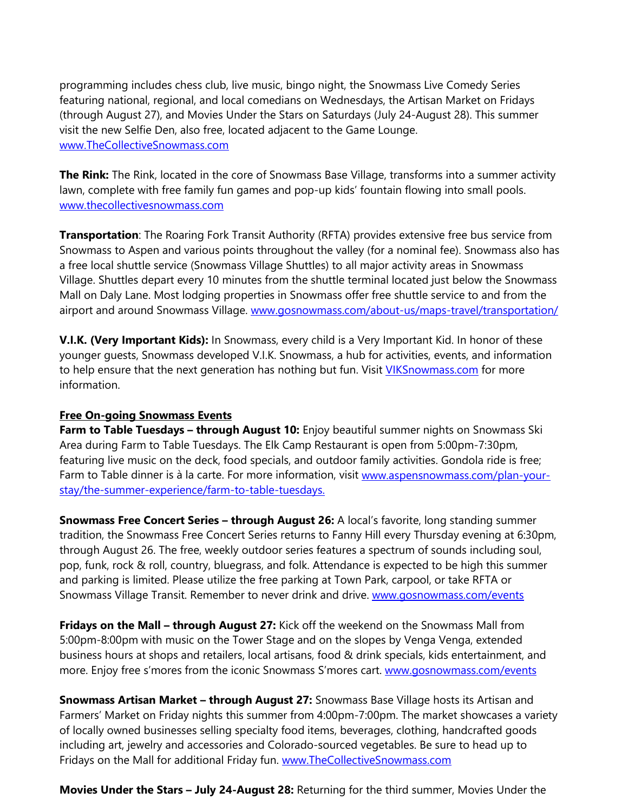programming includes chess club, live music, bingo night, the Snowmass Live Comedy Series featuring national, regional, and local comedians on Wednesdays, the Artisan Market on Fridays (through August 27), and Movies Under the Stars on Saturdays (July 24-August 28). This summer visit the new Selfie Den, also free, located adjacent to the Game Lounge. [www.TheCollectiveSnowmass.com](http://www.thecollectivesnowmass.com/) 

**The Rink:** The Rink, located in the core of Snowmass Base Village, transforms into a summer activity lawn, complete with free family fun games and pop-up kids' fountain flowing into small pools. [www.thecollectivesnowmass.com](https://linkprotect.cudasvc.com/url?a=http%3a%2f%2fwww.thecollectivesnowmass.com&c=E,1,7yv27eVG5vplDheUsqLX3Y5TUURHBRDcPePKmKB0V7egnWEHT0OMoF4aj7i5Hs6O0zhOmYK0fqcU2gqedLk3WPaTWqzRh5foC--vnbhv&typo=1)

**Transportation**: The Roaring Fork Transit Authority (RFTA) provides extensive free bus service from Snowmass to Aspen and various points throughout the valley (for a nominal fee). Snowmass also has a free local shuttle service (Snowmass Village Shuttles) to all major activity areas in Snowmass Village. Shuttles depart every 10 minutes from the shuttle terminal located just below the Snowmass Mall on Daly Lane. Most lodging properties in Snowmass offer free shuttle service to and from the airport and around Snowmass Village. [www.gosnowmass.com/about-us/maps-travel/transportation/](http://www.gosnowmass.com/about-us/maps-travel/transportation/)

**V.I.K. (Very Important Kids):** In Snowmass, every child is a Very Important Kid. In honor of these younger guests, Snowmass developed V.I.K. Snowmass, a hub for activities, events, and information to help ensure that the next generation has nothing but fun. Visit *VIKSnowmass.com* for more information.

## **Free On-going Snowmass Events**

**Farm to Table Tuesdays – through August 10:** Enjoy beautiful summer nights on Snowmass Ski Area during Farm to Table Tuesdays. The Elk Camp Restaurant is open from 5:00pm-7:30pm, featuring live music on the deck, food specials, and outdoor family activities. Gondola ride is free; Farm to Table dinner is à la carte. For more information, visit [www.aspensnowmass.com/plan-your](https://www.aspensnowmass.com/plan-your-stay/the-summer-experience/farm-to-table-tuesdays)[stay/the-summer-experience/farm-to-table-tuesdays.](https://www.aspensnowmass.com/plan-your-stay/the-summer-experience/farm-to-table-tuesdays)

**Snowmass Free Concert Series – through August 26:** A local's favorite, long standing summer tradition, the Snowmass Free Concert Series returns to Fanny Hill every Thursday evening at 6:30pm, through August 26. The free, weekly outdoor series features a spectrum of sounds including soul, pop, funk, rock & roll, country, bluegrass, and folk. Attendance is expected to be high this summer and parking is limited. Please utilize the free parking at Town Park, carpool, or take RFTA or Snowmass Village Transit. Remember to never drink and drive. [www.gosnowmass.com/events](http://www.gosnowmass.com/events) 

**Fridays on the Mall – through August 27:** Kick off the weekend on the Snowmass Mall from 5:00pm-8:00pm with music on the Tower Stage and on the slopes by Venga Venga, extended business hours at shops and retailers, local artisans, food & drink specials, kids entertainment, and more. Enjoy free s'mores from the iconic Snowmass S'mores cart. [www.gosnowmass.com/](http://www.gosnowmass.com/)events

**Snowmass Artisan Market – through August 27:** Snowmass Base Village hosts its Artisan and Farmers' Market on Friday nights this summer from 4:00pm-7:00pm. The market showcases a variety of locally owned businesses selling specialty food items, beverages, clothing, handcrafted goods including art, jewelry and accessories and Colorado-sourced vegetables. Be sure to head up to Fridays on the Mall for additional Friday fun. [www.TheCollectiveSnowmass.com](http://www.thecollectivesnowmass.com/)

**Movies Under the Stars – July 24-August 28:** Returning for the third summer, Movies Under the